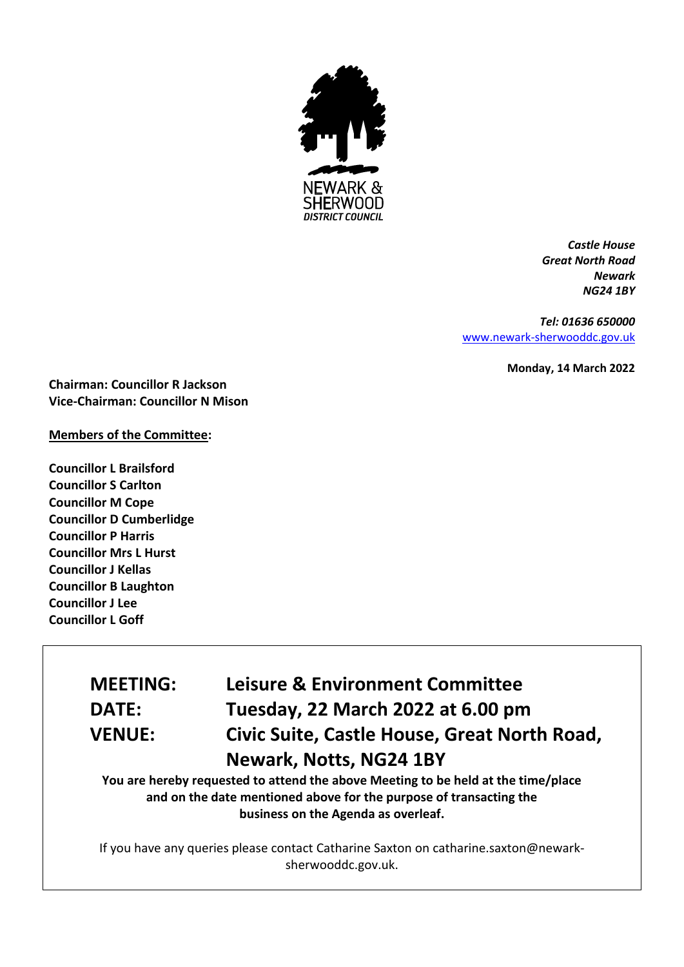

*Castle House Great North Road Newark NG24 1BY*

*Tel: 01636 650000* [www.newark-sherwooddc.gov.uk](http://www.newark-sherwooddc.gov.uk/)

**Monday, 14 March 2022**

**Chairman: Councillor R Jackson Vice-Chairman: Councillor N Mison**

## **Members of the Committee:**

**Councillor L Brailsford Councillor S Carlton Councillor M Cope Councillor D Cumberlidge Councillor P Harris Councillor Mrs L Hurst Councillor J Kellas Councillor B Laughton Councillor J Lee Councillor L Goff**

# **MEETING: Leisure & Environment Committee DATE: Tuesday, 22 March 2022 at 6.00 pm VENUE: Civic Suite, Castle House, Great North Road, Newark, Notts, NG24 1BY**

**You are hereby requested to attend the above Meeting to be held at the time/place and on the date mentioned above for the purpose of transacting the business on the Agenda as overleaf.**

If you have any queries please contact Catharine Saxton on catharine.saxton@newarksherwooddc.gov.uk.